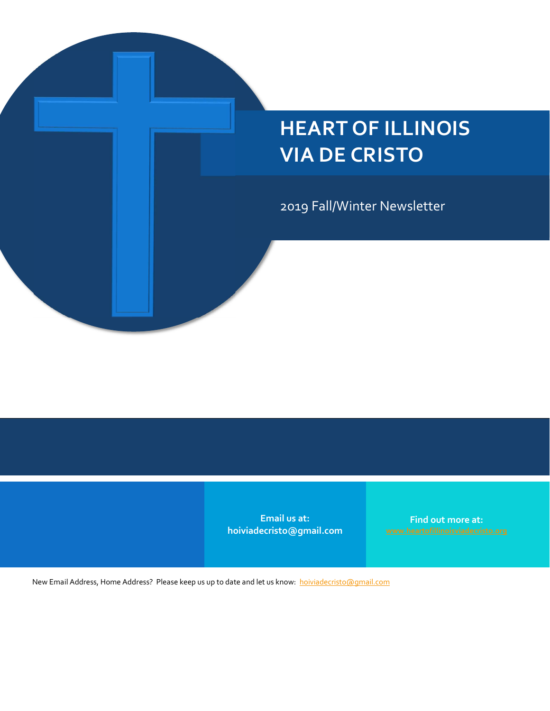### HEART OF ILLINOIS VIA DE CRISTO

2019 Fall/Winter Newsletter

Email us at: hoiviadecristo@gmail.com

Find out more at:

New Email Address, Home Address? Please keep us up to date and let us know: hoiviadecristo@gmail.com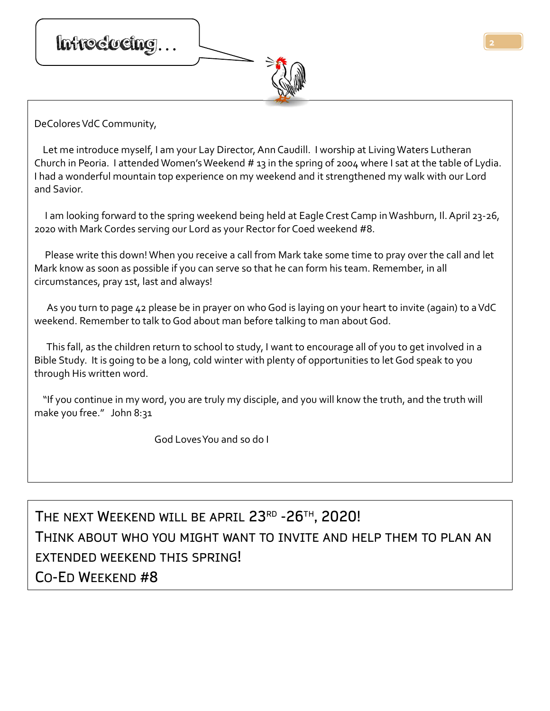

DeColores VdC Community,

 Let me introduce myself, I am your Lay Director, Ann Caudill. I worship at Living Waters Lutheran Church in Peoria. I attended Women's Weekend # 13 in the spring of 2004 where I sat at the table of Lydia. I had a wonderful mountain top experience on my weekend and it strengthened my walk with our Lord and Savior.

 I am looking forward to the spring weekend being held at Eagle Crest Camp in Washburn, Il. April 23-26, 2020 with Mark Cordes serving our Lord as your Rector for Coed weekend #8.

 Please write this down! When you receive a call from Mark take some time to pray over the call and let Mark know as soon as possible if you can serve so that he can form his team. Remember, in all circumstances, pray 1st, last and always!

 As you turn to page 42 please be in prayer on who God is laying on your heart to invite (again) to a VdC weekend. Remember to talk to God about man before talking to man about God.

 This fall, as the children return to school to study, I want to encourage all of you to get involved in a Bible Study. It is going to be a long, cold winter with plenty of opportunities to let God speak to you through His written word.

 "If you continue in my word, you are truly my disciple, and you will know the truth, and the truth will make you free." John 8:31

God Loves You and so do I

THE NEXT WEEKEND WILL BE APRIL  $23^{\text{\tiny RD}}$  -26TH, 2020!  $\hphantom{\text{1}}$ THINK ABOUT WHO YOU MIGHT WANT TO INVITE AND HELP THEM TO PLAN AN EXTENDED WEEKEND THIS SPRING! CO-ED WEEKEND #8

2  $\Box$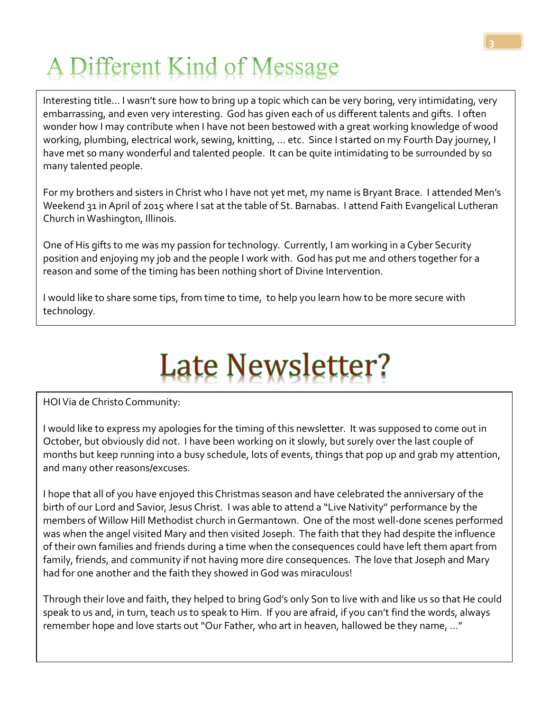## A Different Kind of Message

 wonder how I may contribute when I have not been bestowed with a great working knowledge of wood Interesting title… I wasn't sure how to bring up a topic which can be very boring, very intimidating, very embarrassing, and even very interesting. God has given each of us different talents and gifts. I often working, plumbing, electrical work, sewing, knitting, … etc. Since I started on my Fourth Day journey, I have met so many wonderful and talented people. It can be quite intimidating to be surrounded by so many talented people.

For my brothers and sisters in Christ who I have not yet met, my name is Bryant Brace. I attended Men's Weekend 31 in April of 2015 where I sat at the table of St. Barnabas. I attend Faith Evangelical Lutheran Church in Washington, Illinois.

One of His gifts to me was my passion for technology. Currently, I am working in a Cyber Security position and enjoying my job and the people I work with. God has put me and others together for a reason and some of the timing has been nothing short of Divine Intervention.

I would like to share some tips, from time to time, to help you learn how to be more secure with technology.

# **Late Newsletter?**

HOI Via de Christo Community:

I would like to express my apologies for the timing of this newsletter. It was supposed to come out in October, but obviously did not. I have been working on it slowly, but surely over the last couple of months but keep running into a busy schedule, lots of events, things that pop up and grab my attention, and many other reasons/excuses.

I hope that all of you have enjoyed this Christmas season and have celebrated the anniversary of the birth of our Lord and Savior, Jesus Christ. I was able to attend a "Live Nativity" performance by the members of Willow Hill Methodist church in Germantown. One of the most well-done scenes performed was when the angel visited Mary and then visited Joseph. The faith that they had despite the influence of their own families and friends during a time when the consequences could have left them apart from family, friends, and community if not having more dire consequences. The love that Joseph and Mary had for one another and the faith they showed in God was miraculous!

Through their love and faith, they helped to bring God's only Son to live with and like us so that He could speak to us and, in turn, teach us to speak to Him. If you are afraid, if you can't find the words, always remember hope and love starts out "Our Father, who art in heaven, hallowed be they name, …"

3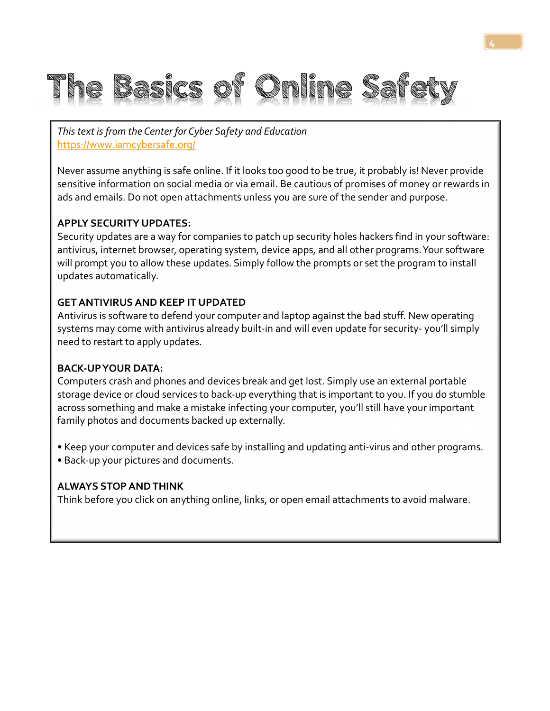

This text is from the Center for Cyber Safety and Education https://www.iamcybersafe.org/

Never assume anything is safe online. If it looks too good to be true, it probably is! Never provide sensitive information on social media or via email. Be cautious of promises of money or rewards in ads and emails. Do not open attachments unless you are sure of the sender and purpose.

4

#### APPLY SECURITY UPDATES:

Security updates are a way for companies to patch up security holes hackers find in your software: antivirus, internet browser, operating system, device apps, and all other programs. Your software will prompt you to allow these updates. Simply follow the prompts or set the program to install updates automatically.

#### GET ANTIVIRUS AND KEEP IT UPDATED

Antivirus is software to defend your computer and laptop against the bad stuff. New operating systems may come with antivirus already built-in and will even update for security- you'll simply need to restart to apply updates.

#### BACK-UP YOUR DATA:

Computers crash and phones and devices break and get lost. Simply use an external portable storage device or cloud services to back-up everything that is important to you. If you do stumble across something and make a mistake infecting your computer, you'll still have your important family photos and documents backed up externally.

- Keep your computer and devices safe by installing and updating anti-virus and other programs.
- Back-up your pictures and documents.

#### ALWAYS STOP AND THINK

Think before you click on anything online, links, or open email attachments to avoid malware.